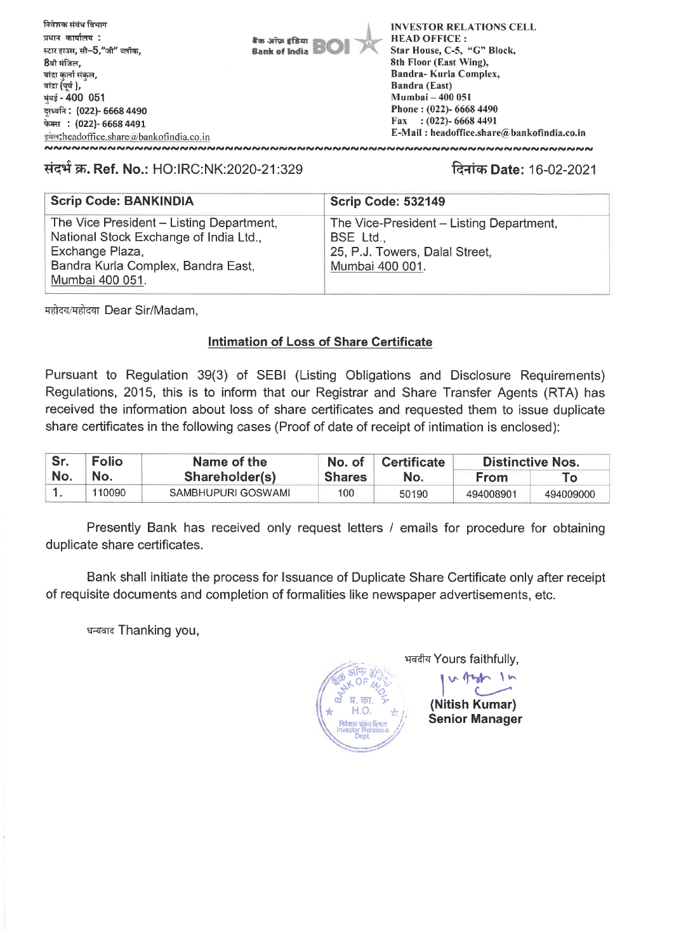

INVESTOR RELATIONS CELL HEAD OFFICE : Star House, C-5, "G" Block, 8th Floor (East Wing), Bandra- Kurla Complex, **Bandra (East)** Mumbai — 400 051 Phone : (022)- 6668 4490 Fax : (022)- 6668 4491  $E-Mail: headoffice.shape@bankofindia.co.in$ 

## **Ref. No.:** HO:IRC:NK:2020-21:329 **Rim-) Date:** 16-02-2021

| <b>Scrip Code: BANKINDIA</b>                                                       | <b>Scrip Code: 532149</b>                             |
|------------------------------------------------------------------------------------|-------------------------------------------------------|
| The Vice President - Listing Department,<br>National Stock Exchange of India Ltd., | The Vice-President - Listing Department,<br>BSE Ltd., |
| Exchange Plaza,                                                                    | 25, P.J. Towers, Dalal Street,                        |
| Bandra Kurla Complex, Bandra East,<br>Mumbai 400 051.                              | Mumbai 400 001.                                       |
|                                                                                    |                                                       |

महोदय/महोदया Dear Sir/Madam,

निवेशक संबंध विभाग प्रधान कार्यालय :

8वी मंजिल, बांद्रा कुर्ला संकुल, बांद्रा (पूर्व ), **मृंबई - 400 051** 

स्टार हाउस, सी-5,"जी" ब्लॉक,

दरध्वनि: (022)- 6668 4490 itacr : **(022)- 6668 4491** 

 $\frac{1}{2}$  Timeshandoffice.share  $a$  bankotindia.co.in

# **Intimation of Loss of Share Certificate**

Pursuant to Regulation 39(3) of SEBI (Listing Obligations and Disclosure Requirements) Regulations, 2015, this is to inform that our Registrar and Share Transfer Agents (RTA) has received the information about loss of share certificates and requested them to issue duplicate share certificates in the following cases (Proof of date of receipt of intimation is enclosed):

| Sr. | <b>Folio</b> | Name of the        | No. of        | <b>Certificate</b> | <b>Distinctive Nos.</b> |           |
|-----|--------------|--------------------|---------------|--------------------|-------------------------|-----------|
| No. | No.          | Shareholder(s)     | <b>Shares</b> | Nο.                | <b>From</b>             | Гο        |
|     | 110090       | SAMBHUPURI GOSWAMI | 100           | 50190              | 494008901               | 494009000 |

Presently Bank has received only request letters / emails for procedure for obtaining duplicate share certificates.

Bank shall initiate the process for Issuance of Duplicate Share Certificate only after receipt of requisite documents and completion of formalities like newspaper advertisements, etc.

धन्यवाद Thanking you,



भवदीय Yours faithfully,

**(Nitish Kumar) Senior Manager** 

 $\frac{1}{2}$ 

 $\sqrt{2}$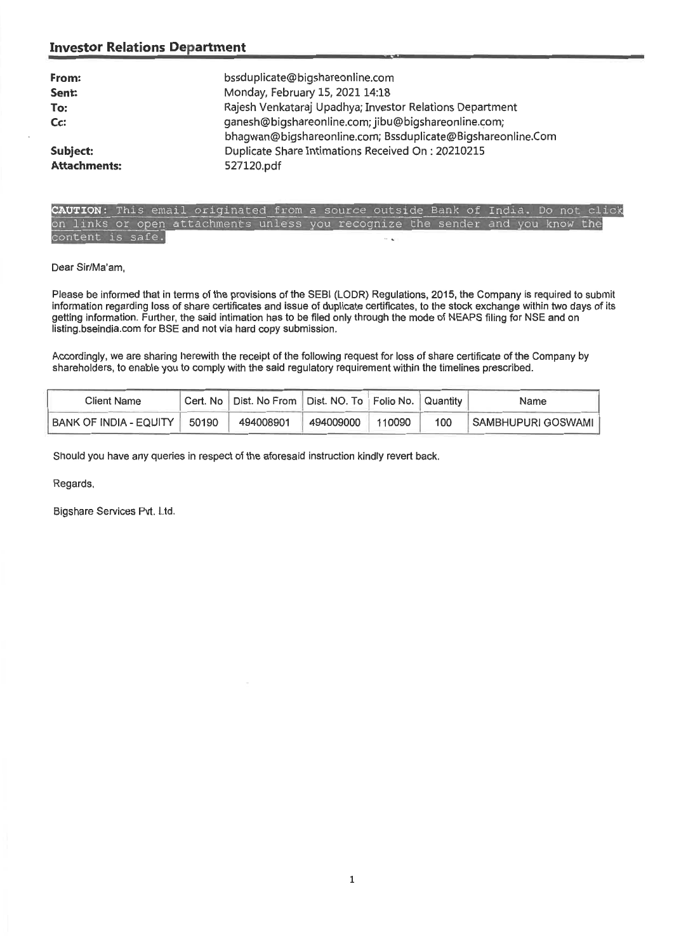## **Investor Relations Department**

| From:               | bssduplicate@bigshareonline.com                                                                                                                                                |
|---------------------|--------------------------------------------------------------------------------------------------------------------------------------------------------------------------------|
| Sent:               | Monday, February 15, 2021 14:18                                                                                                                                                |
| To:<br>Cc:          | Rajesh Venkataraj Upadhya; Investor Relations Department<br>ganesh@bigshareonline.com; jibu@bigshareonline.com;<br>bhagwan@bigshareonline.com; Bssduplicate@Bigshareonline.Com |
| Subject:            | Duplicate Share Intimations Received On: 20210215                                                                                                                              |
| <b>Attachments:</b> | 527120.pdf                                                                                                                                                                     |

### CAUTION: This email originated from a source outside Bank of India. Do not click on links or open attachments unless you recognize the sender and you know the content is safe.

#### Dear Sir/Ma'am,

Please be informed that in terms of the provisions of the SEBI (LODR) Regulations, 2015, the Company is required to submit information regarding loss of share certificates and issue of duplicate certificates, to the stock exchange within two days of its getting information. Further, the said intimation has to be filed only through the mode of NEAPS filing for NSE and on listing.bseindia.com for BSE and not via hard copy submission.

Accordingly, we are sharing herewith the receipt of the following request for loss of share certificate of the Company by shareholders, to enable you to comply with the said regulatory requirement within the timelines prescribed.

| <b>Client Name</b>     |       | Cert. No   Dist. No From   Dist. NO. To   Folio No. |           |        | Quantity | Name               |
|------------------------|-------|-----------------------------------------------------|-----------|--------|----------|--------------------|
| BANK OF INDIA - EQUITY | 50190 | 494008901                                           | 494009000 | 110090 | 100      | SAMBHUPURI GOSWAMI |

Should you have any queries in respect of the aforesaid instruction kindly revert back.

Regards,

Bigshare Services Pvt. Ltd.